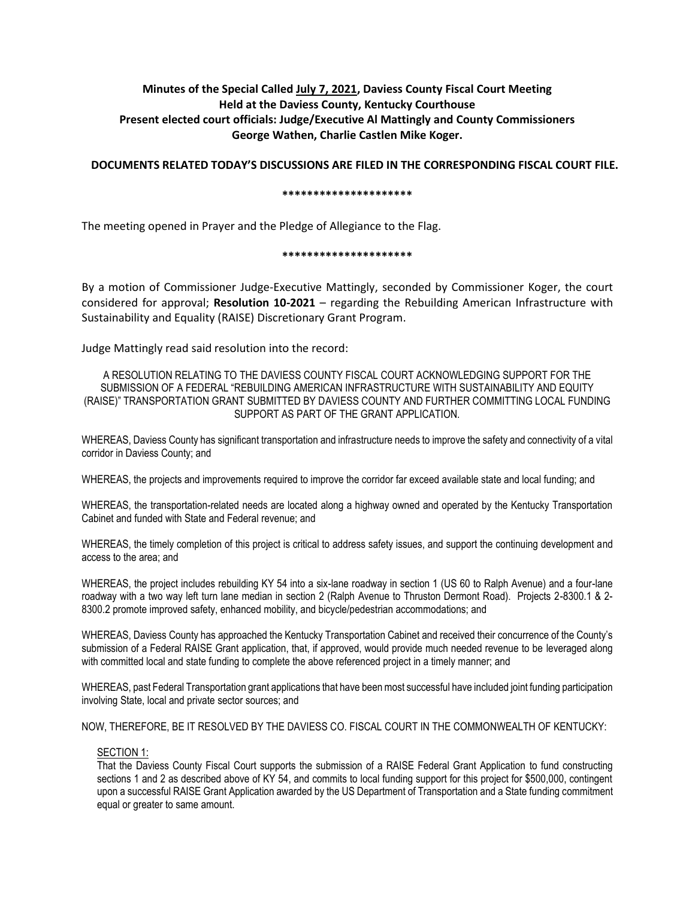# **Minutes of the Special Called July 7, 2021, Daviess County Fiscal Court Meeting Held at the Daviess County, Kentucky Courthouse Present elected court officials: Judge/Executive Al Mattingly and County Commissioners George Wathen, Charlie Castlen Mike Koger.**

### **DOCUMENTS RELATED TODAY'S DISCUSSIONS ARE FILED IN THE CORRESPONDING FISCAL COURT FILE.**

#### **\*\*\*\*\*\*\*\*\*\*\*\*\*\*\*\*\*\*\*\*\***

The meeting opened in Prayer and the Pledge of Allegiance to the Flag.

#### **\*\*\*\*\*\*\*\*\*\*\*\*\*\*\*\*\*\*\*\*\***

By a motion of Commissioner Judge-Executive Mattingly, seconded by Commissioner Koger, the court considered for approval; **Resolution 10-2021** – regarding the Rebuilding American Infrastructure with Sustainability and Equality (RAISE) Discretionary Grant Program.

Judge Mattingly read said resolution into the record:

### A RESOLUTION RELATING TO THE DAVIESS COUNTY FISCAL COURT ACKNOWLEDGING SUPPORT FOR THE SUBMISSION OF A FEDERAL "REBUILDING AMERICAN INFRASTRUCTURE WITH SUSTAINABILITY AND EQUITY (RAISE)" TRANSPORTATION GRANT SUBMITTED BY DAVIESS COUNTY AND FURTHER COMMITTING LOCAL FUNDING SUPPORT AS PART OF THE GRANT APPLICATION.

WHEREAS, Daviess County has significant transportation and infrastructure needs to improve the safety and connectivity of a vital corridor in Daviess County; and

WHEREAS, the projects and improvements required to improve the corridor far exceed available state and local funding; and

WHEREAS, the transportation-related needs are located along a highway owned and operated by the Kentucky Transportation Cabinet and funded with State and Federal revenue; and

WHEREAS, the timely completion of this project is critical to address safety issues, and support the continuing development and access to the area; and

WHEREAS, the project includes rebuilding KY 54 into a six-lane roadway in section 1 (US 60 to Ralph Avenue) and a four-lane roadway with a two way left turn lane median in section 2 (Ralph Avenue to Thruston Dermont Road). Projects 2-8300.1 & 2- 8300.2 promote improved safety, enhanced mobility, and bicycle/pedestrian accommodations; and

WHEREAS, Daviess County has approached the Kentucky Transportation Cabinet and received their concurrence of the County's submission of a Federal RAISE Grant application, that, if approved, would provide much needed revenue to be leveraged along with committed local and state funding to complete the above referenced project in a timely manner; and

WHEREAS, past Federal Transportation grant applications that have been most successful have included joint funding participation involving State, local and private sector sources; and

NOW, THEREFORE, BE IT RESOLVED BY THE DAVIESS CO. FISCAL COURT IN THE COMMONWEALTH OF KENTUCKY:

### SECTION 1:

That the Daviess County Fiscal Court supports the submission of a RAISE Federal Grant Application to fund constructing sections 1 and 2 as described above of KY 54, and commits to local funding support for this project for \$500,000, contingent upon a successful RAISE Grant Application awarded by the US Department of Transportation and a State funding commitment equal or greater to same amount.